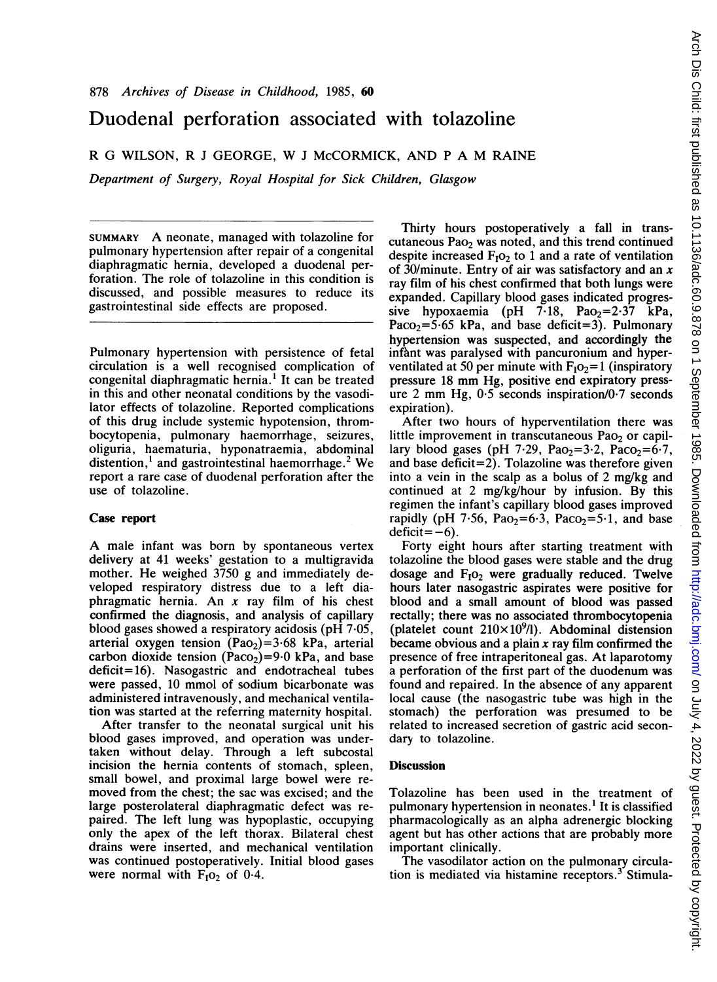## Duodenal perforation associated with tolazoline

R G WILSON, R <sup>J</sup> GEORGE, W <sup>J</sup> McCORMICK, AND <sup>P</sup> A M RAINE

Department of Surgery, Royal Hospital for Sick Children, Glasgow

SUMMARY A neonate, managed with tolazoline for pulmonary hypertension after repair of a congenital diaphragmatic hernia, developed a duodenal perforation. The role of tolazoline in this condition is discussed, and possible measures to reduce its gastrointestinal side effects are proposed.

Pulmonary hypertension with persistence of fetal circulation is a well recognised complication of congenital diaphragmatic hernia.' It can be treated in this and other neonatal conditions by the vasodilator effects of tolazoline. Reported complications of this drug include systemic hypotension, thrombocytopenia, pulmonary haemorrhage, seizures, oliguria, haematuria, hyponatraemia, abdominal distention, $<sup>1</sup>$  and gastrointestinal haemorrhage.<sup>2</sup> We</sup> report a rare case of duodenal perforation after the use of tolazoline.

## Case report

A male infant was born by spontaneous vertex delivery at 41 weeks' gestation to a multigravida mother. He weighed 3750 g and immediately developed respiratory distress due to a left diaphragmatic hernia. An  $x$  ray film of his chest confirmed the diagnosis, and analysis of capillary blood gases showed a respiratory acidosis (pH 7 05, arterial oxygen tension (Pao<sub>2</sub>)=3.68 kPa, arterial carbon dioxide tension (Paco<sub>2</sub>)=9.0 kPa, and base deficit= 16). Nasogastric and endotracheal tubes were passed, 10 mmol of sodium bicarbonate was administered intravenously, and mechanical ventilation was started at the referring maternity hospital.

After transfer to the neonatal surgical unit his blood gases improved, and operation was undertaken without delay. Through a left subcostal incision the hernia contents of stomach, spleen, small bowel, and proximal large bowel were removed from the chest; the sac was excised; and the large posterolateral diaphragmatic defect was repaired. The left lung was hypoplastic, occupying only the apex of the left thorax. Bilateral chest drains were inserted, and mechanical ventilation was continued postoperatively. Initial blood gases were normal with  $F_1O_2$  of 0.4.

Thirty hours postoperatively a fall in transcutaneous Pao<sub>2</sub> was noted, and this trend continued despite increased  $F_1O_2$  to 1 and a rate of ventilation of 30/minute. Entry of air was satisfactory and an  $x$ ray film of his chest confirmed that both lungs were expanded. Capillary blood gases indicated progressive hypoxaemia (pH  $7.18$ , Pao<sub>2</sub>=2.37 kPa, Paco<sub>2</sub>=5.65 kPa, and base deficit=3). Pulmonary hypertension was suspected, and accordingly the infant was paralysed with pancuronium and hyperventilated at 50 per minute with  $F_1O_2=1$  (inspiratory pressure <sup>18</sup> mm Hg, positive end expiratory pressure 2 mm Hg,  $0.5$  seconds inspiration/ $0.7$  seconds expiration).

After two hours of hyperventilation there was little improvement in transcutaneous Pao<sub>2</sub> or capillary blood gases (pH 7.29, Pao<sub>2</sub>=3.2, Paco<sub>2</sub>=6.7, and base deficit=2). Tolazoline was therefore given into a vein in the scalp as a bolus of 2 mg/kg and continued at 2 mg/kg/hour by infusion. By this regimen the infant's capillary blood gases improved rapidly (pH 7.56, Pao<sub>2</sub>=6.3, Paco<sub>2</sub>=5.1, and base  $deficit = -6$ ).

Forty eight hours after starting treatment with tolazoline the blood gases were stable and the drug dosage and  $F_1O_2$  were gradually reduced. Twelve hours later nasogastric aspirates were positive for blood and a small amount of blood was passed rectally; there was no associated thrombocytopenia (platelet count  $210\times10^{9}$ /l). Abdominal distension became obvious and a plain  $x$  ray film confirmed the presence of free intraperitoneal gas. At laparotomy a perforation of the first part of the duodenum was found and repaired. In the absence of any apparent local cause (the nasogastric tube was high in the stomach) the perforation was presumed to be related to increased secretion of gastric acid secondary to tolazoline.

## **Discussion**

Tolazoline has been used in the treatment of pulmonary hypertension in neonates.' It is classified pharmacologically as an alpha adrenergic blocking agent but has other actions that are probably more important clinically.

The vasodilator action on the pulmonary circulation is mediated via histamine receptors.<sup>3</sup> Stimula